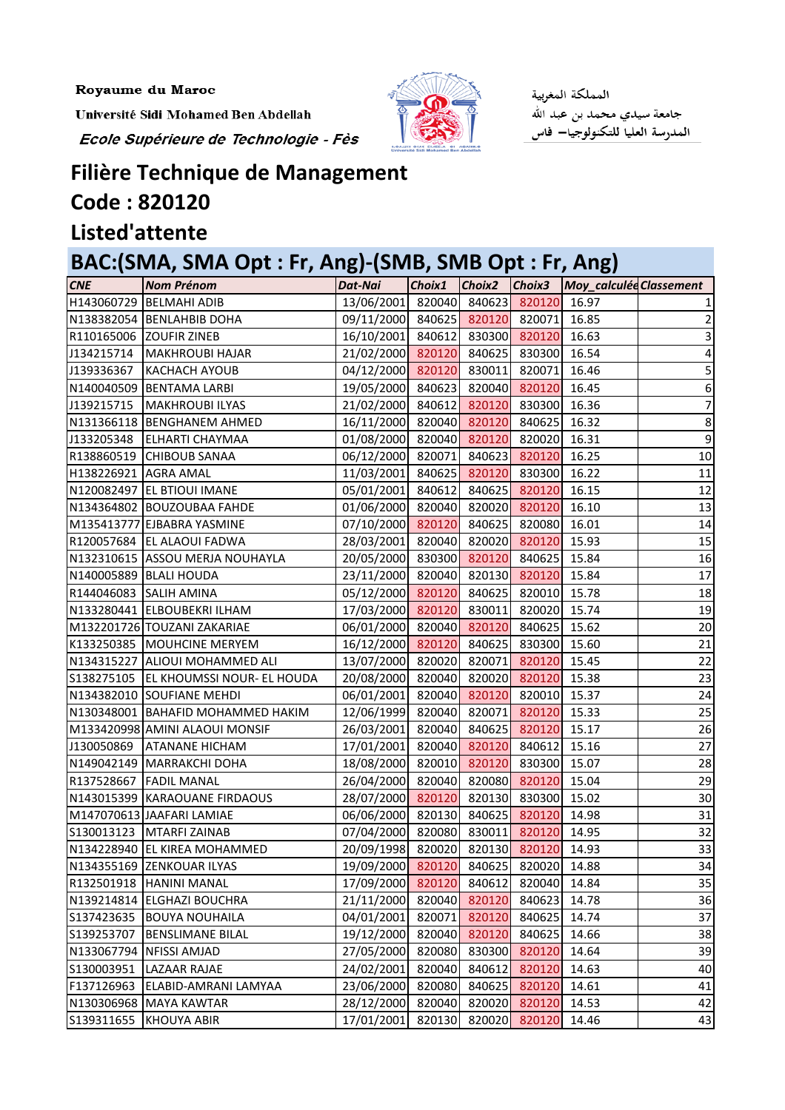Royaume du Maroc

Université Sidi Mohamed Ben Abdellah

Ecole Supérieure de Technologie - Fès



المملكة المغربية جامعة سيدي محمد بن عبد الله المدرسة العليا للتكنولوجيا— فاس

## **Filière Technique de Management**

## **Code : 820120**

## **Listed'attente**

## **BAC:(SMA, SMA Opt : Fr, Ang)-(SMB, SMB Opt : Fr, Ang)**

| <b>CNE</b>           | <b>Nom Prénom</b>                       | Dat-Nai                         |        |        |               | Choix1 Choix2 Choix3 Moy_calculéd Classement |                 |
|----------------------|-----------------------------------------|---------------------------------|--------|--------|---------------|----------------------------------------------|-----------------|
|                      | H143060729   BELMAHI ADIB               | 13/06/2001 820040 840623        |        |        | 820120        | 16.97                                        |                 |
|                      | N138382054 BENLAHBIB DOHA               | 09/11/2000 840625 820120 820071 |        |        |               | 16.85                                        | $\overline{2}$  |
|                      | R110165006 ZOUFIR ZINEB                 | 16/10/2001 840612 830300 820120 |        |        |               | 16.63                                        |                 |
|                      | J134215714   MAKHROUBI HAJAR            | 21/02/2000 820120 840625 830300 |        |        |               | 16.54                                        | 4               |
| J139336367           | KACHACH AYOUB                           | 04/12/2000 820120 830011 820071 |        |        |               | 16.46                                        | 5               |
|                      | N140040509 BENTAMA LARBI                | 19/05/2000 840623 820040 820120 |        |        |               | 16.45                                        | 6               |
| J139215715           | MAKHROUBI ILYAS                         | 21/02/2000 840612 820120 830300 |        |        |               | 16.36                                        | $\overline{7}$  |
|                      | N131366118 BENGHANEM AHMED              | 16/11/2000 820040 820120 840625 |        |        |               | 16.32                                        | 8               |
|                      | J133205348 ELHARTI CHAYMAA              | 01/08/2000 820040 820120 820020 |        |        |               | 16.31                                        | 9               |
|                      | R138860519 CHIBOUB SANAA                | 06/12/2000 820071 840623 820120 |        |        |               | 16.25                                        | 10              |
| H138226921 AGRA AMAL |                                         | 11/03/2001 840625 820120 830300 |        |        |               | 16.22                                        | 11              |
|                      | N120082497 EL BTIOUI IMANE              | 05/01/2001 840612 840625 820120 |        |        |               | 16.15                                        | 12              |
|                      | N134364802 BOUZOUBAA FAHDE              | 01/06/2000 820040 820020 820120 |        |        |               | 16.10                                        | 13              |
|                      | M135413777 EJBABRA YASMINE              | 07/10/2000 820120 840625 820080 |        |        |               | 16.01                                        | 14              |
|                      | R120057684 EL ALAOUI FADWA              | 28/03/2001 820040 820020 820120 |        |        |               | 15.93                                        | 15              |
|                      | N132310615 ASSOU MERJA NOUHAYLA         | 20/05/2000 830300 820120 840625 |        |        |               | 15.84                                        | 16              |
|                      | N140005889 BLALI HOUDA                  | 23/11/2000 820040 820130 820120 |        |        |               | 15.84                                        | 17              |
|                      | R144046083 SALIH AMINA                  | 05/12/2000 820120 840625 820010 |        |        |               | 15.78                                        | 18              |
|                      | N133280441 ELBOUBEKRI ILHAM             | 17/03/2000 820120 830011 820020 |        |        |               | 15.74                                        | 19              |
|                      | M132201726 TOUZANI ZAKARIAE             | 06/01/2000 820040 820120 840625 |        |        |               | 15.62                                        | 20              |
|                      | K133250385 MOUHCINE MERYEM              | 16/12/2000 820120 840625 830300 |        |        |               | 15.60                                        | 21              |
|                      | N134315227 ALIOUI MOHAMMED ALI          | 13/07/2000 820020 820071        |        |        | 820120        | 15.45                                        | $\overline{22}$ |
|                      | S138275105   EL KHOUMSSI NOUR- EL HOUDA | 20/08/2000 820040 820020 820120 |        |        |               | 15.38                                        | 23              |
|                      | N134382010 SOUFIANE MEHDI               | 06/01/2001 820040 820120 820010 |        |        |               | 15.37                                        | 24              |
|                      | N130348001   BAHAFID MOHAMMED HAKIM     | 12/06/1999 820040 820071 820120 |        |        |               | 15.33                                        | $\overline{25}$ |
|                      | M133420998 AMINI ALAOUI MONSIF          | 26/03/2001 820040 840625 820120 |        |        |               | 15.17                                        | 26              |
| J130050869           | <b>ATANANE HICHAM</b>                   | 17/01/2001 820040 820120 840612 |        |        |               | 15.16                                        | $\overline{27}$ |
|                      | N149042149   MARRAKCHI DOHA             | 18/08/2000 820010 820120 830300 |        |        |               | 15.07                                        | 28              |
|                      | R137528667 FADIL MANAL                  | 26/04/2000 820040 820080 820120 |        |        |               | 15.04                                        | 29              |
|                      | N143015399 KARAOUANE FIRDAOUS           | 28/07/2000 820120 820130 830300 |        |        |               | 15.02                                        | 30              |
|                      | M147070613 JAAFARI LAMIAE               | 06/06/2000 820130 840625 820120 |        |        |               | 14.98                                        | 31              |
|                      | S130013123   MTARFI ZAINAB              | 07/04/2000 820080 830011        |        |        | 820120        | 14.95                                        | 32              |
|                      | N134228940 EL KIREA MOHAMMED            | 20/09/1998 820020 820130 820120 |        |        |               | 14.93                                        | 33              |
|                      | N134355169 ZENKOUAR ILYAS               | 19/09/2000                      | 820120 | 840625 | 820020        | 14.88                                        | 34              |
|                      | R132501918 HANINI MANAL                 | 17/09/2000                      | 820120 | 840612 | 820040        | 14.84                                        | 35              |
|                      | N139214814 ELGHAZI BOUCHRA              | 21/11/2000 820040 820120        |        |        | 840623        | 14.78                                        | 36              |
|                      | S137423635  BOUYA NOUHAILA              | 04/01/2001                      | 820071 | 820120 | 840625        | 14.74                                        | 37              |
| S139253707           | <b>BENSLIMANE BILAL</b>                 | 19/12/2000 820040 820120        |        |        | 840625        | 14.66                                        | 38              |
|                      | N133067794 NFISSI AMJAD                 | 27/05/2000                      | 820080 | 830300 | 820120        | 14.64                                        | 39              |
| S130003951           | <b>LAZAAR RAJAE</b>                     | 24/02/2001                      | 820040 | 840612 | 820120        | 14.63                                        | 40              |
| F137126963           | ELABID-AMRANI LAMYAA                    | 23/06/2000                      | 820080 | 840625 | 820120        | 14.61                                        | 41              |
|                      | N130306968 MAYA KAWTAR                  | 28/12/2000                      | 820040 | 820020 | 820120        | 14.53                                        | 42              |
| S139311655           | KHOUYA ABIR                             | 17/01/2001                      | 820130 |        | 820020 820120 | 14.46                                        | 43              |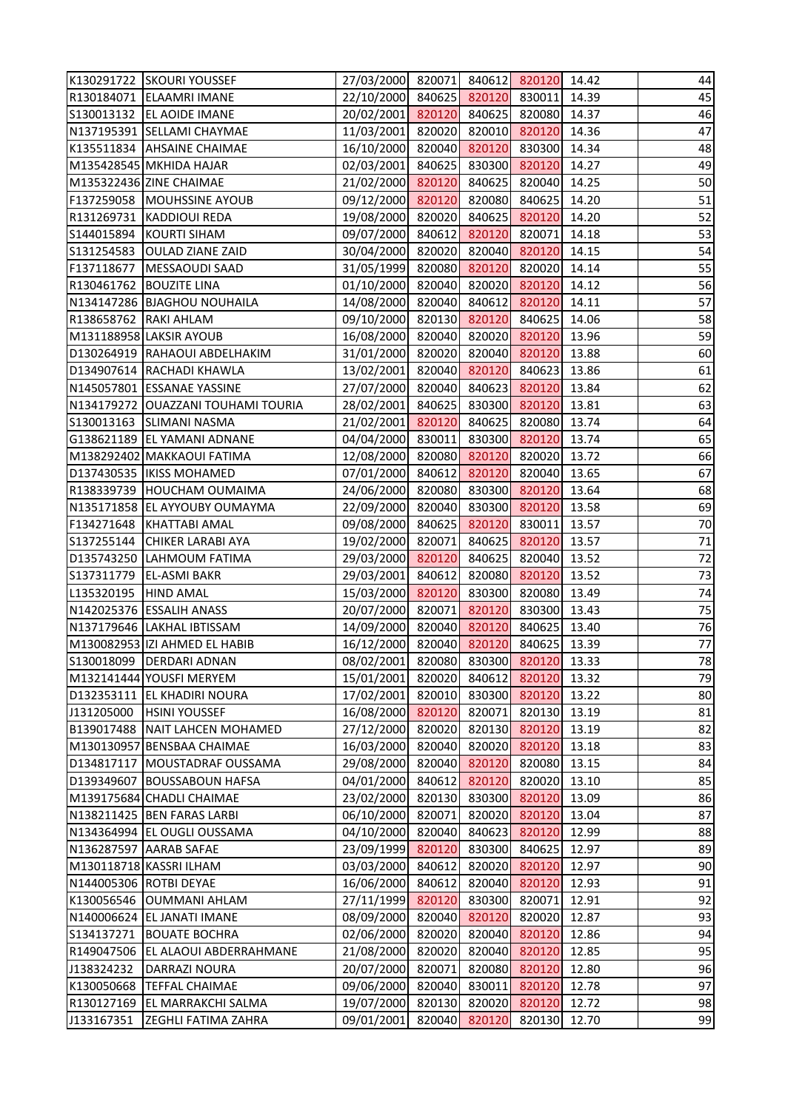|                        | K130291722 SKOURI YOUSSEF          | 27/03/2000 820071 840612 820120 14.42 |        |               |                      |       | 44 |
|------------------------|------------------------------------|---------------------------------------|--------|---------------|----------------------|-------|----|
|                        | R130184071 ELAAMRI IMANE           | 22/10/2000 840625 820120 830011 14.39 |        |               |                      |       | 45 |
|                        | S130013132 EL AOIDE IMANE          | 20/02/2001 820120 840625 820080 14.37 |        |               |                      |       | 46 |
|                        | N137195391 SELLAMI CHAYMAE         | 11/03/2001 820020 820010 820120 14.36 |        |               |                      |       | 47 |
|                        | K135511834 AHSAINE CHAIMAE         | 16/10/2000 820040 820120 830300 14.34 |        |               |                      |       | 48 |
|                        | M135428545 MKHIDA HAJAR            | 02/03/2001 840625 830300 820120 14.27 |        |               |                      |       | 49 |
|                        | M135322436 ZINE CHAIMAE            | 21/02/2000 820120 840625 820040 14.25 |        |               |                      |       | 50 |
|                        | F137259058   MOUHSSINE AYOUB       | 09/12/2000 820120 820080 840625 14.20 |        |               |                      |       | 51 |
|                        | R131269731 KADDIOUI REDA           | 19/08/2000 820020 840625 820120 14.20 |        |               |                      |       | 52 |
|                        | S144015894 KOURTI SIHAM            | 09/07/2000 840612 820120 820071 14.18 |        |               |                      |       | 53 |
|                        | S131254583 OULAD ZIANE ZAID        | 30/04/2000 820020 820040 820120 14.15 |        |               |                      |       | 54 |
|                        | F137118677   MESSAOUDI SAAD        | 31/05/1999 820080 820120 820020 14.14 |        |               |                      |       | 55 |
|                        | R130461762 BOUZITE LINA            | 01/10/2000 820040 820020 820120 14.12 |        |               |                      |       | 56 |
|                        | N134147286 BJAGHOU NOUHAILA        | 14/08/2000 820040 840612 820120 14.11 |        |               |                      |       | 57 |
| R138658762 RAKI AHLAM  |                                    | 09/10/2000 820130 820120 840625 14.06 |        |               |                      |       | 58 |
|                        | M131188958 LAKSIR AYOUB            | 16/08/2000 820040 820020 820120 13.96 |        |               |                      |       | 59 |
|                        | D130264919 RAHAOUI ABDELHAKIM      | 31/01/2000 820020 820040 820120 13.88 |        |               |                      |       | 60 |
|                        | D134907614 RACHADI KHAWLA          | 13/02/2001 820040 820120 840623 13.86 |        |               |                      |       | 61 |
|                        | N145057801 ESSANAE YASSINE         | 27/07/2000 820040 840623 820120 13.84 |        |               |                      |       | 62 |
|                        | N134179272 OUAZZANI TOUHAMI TOURIA | 28/02/2001 840625 830300 820120 13.81 |        |               |                      |       | 63 |
|                        | S130013163 SLIMANI NASMA           | 21/02/2001 820120 840625 820080 13.74 |        |               |                      |       | 64 |
|                        |                                    |                                       |        |               |                      |       |    |
|                        | G138621189 EL YAMANI ADNANE        | 04/04/2000 830011 830300 820120 13.74 |        |               |                      |       | 65 |
|                        | M138292402 MAKKAOUI FATIMA         | 12/08/2000 820080 820120 820020 13.72 |        |               |                      |       | 66 |
|                        | D137430535   IKISS MOHAMED         | 07/01/2000 840612 820120 820040 13.65 |        |               |                      |       | 67 |
|                        | R138339739 HOUCHAM OUMAIMA         | 24/06/2000 820080 830300 820120 13.64 |        |               |                      |       | 68 |
|                        | N135171858 EL AYYOUBY OUMAYMA      | 22/09/2000 820040 830300 820120 13.58 |        |               |                      |       | 69 |
|                        | F134271648 KHATTABI AMAL           | 09/08/2000 840625 820120 830011 13.57 |        |               |                      |       | 70 |
|                        | S137255144 CHIKER LARABI AYA       | 19/02/2000 820071 840625 820120 13.57 |        |               |                      |       | 71 |
|                        | D135743250 LAHMOUM FATIMA          | 29/03/2000 820120 840625 820040 13.52 |        |               |                      |       | 72 |
|                        | S137311779   EL-ASMI BAKR          | 29/03/2001 840612 820080 820120       |        |               |                      | 13.52 | 73 |
| L135320195  HIND AMAL  |                                    | 15/03/2000 820120 830300 820080 13.49 |        |               |                      |       | 74 |
|                        | N142025376 ESSALIH ANASS           | 20/07/2000 820071 820120 830300 13.43 |        |               |                      |       | 75 |
|                        | N137179646 LAKHAL IBTISSAM         | 14/09/2000 820040 820120 840625 13.40 |        |               |                      |       | 76 |
|                        | M130082953 IZI AHMED EL HABIB      | 16/12/2000 820040 820120 840625 13.39 |        |               |                      |       | 77 |
|                        | S130018099 DERDARI ADNAN           | 08/02/2001                            |        |               | 820080 830300 820120 | 13.33 | 78 |
|                        | M132141444 YOUSFI MERYEM           | 15/01/2001                            |        | 820020 840612 | 820120               | 13.32 | 79 |
|                        | D132353111 EL KHADIRI NOURA        | 17/02/2001                            |        |               | 820010 830300 820120 | 13.22 | 80 |
| J131205000             | <b>HSINI YOUSSEF</b>               | 16/08/2000 820120 820071              |        |               | 820130               | 13.19 | 81 |
|                        | B139017488 NAIT LAHCEN MOHAMED     | 27/12/2000                            |        | 820020 820130 | 820120               | 13.19 | 82 |
|                        | M130130957 BENSBAA CHAIMAE         | 16/03/2000                            |        |               | 820040 820020 820120 | 13.18 | 83 |
| D134817117             | MOUSTADRAF OUSSAMA                 | 29/08/2000                            |        | 820040 820120 | 820080               | 13.15 | 84 |
|                        | D139349607 BOUSSABOUN HAFSA        | 04/01/2000                            | 840612 |               | 820120 820020        | 13.10 | 85 |
|                        | M139175684 CHADLI CHAIMAE          | 23/02/2000                            |        |               | 820130 830300 820120 | 13.09 | 86 |
|                        | N138211425 BEN FARAS LARBI         | 06/10/2000                            | 820071 | 820020        | 820120               | 13.04 | 87 |
|                        | N134364994 EL OUGLI OUSSAMA        | 04/10/2000                            | 820040 |               | 840623 820120        | 12.99 | 88 |
|                        | N136287597 AARAB SAFAE             | 23/09/1999                            | 820120 | 830300        | 840625               | 12.97 | 89 |
|                        | M130118718 KASSRI ILHAM            | 03/03/2000                            | 840612 |               | 820020 820120        | 12.97 | 90 |
| N144005306 ROTBI DEYAE |                                    | 16/06/2000                            | 840612 |               | 820040 820120        | 12.93 | 91 |
|                        | K130056546 OUMMANI AHLAM           | 27/11/1999                            | 820120 |               | 830300 820071        | 12.91 | 92 |
|                        | N140006624 EL JANATI IMANE         | 08/09/2000                            |        | 820040 820120 | 820020               | 12.87 | 93 |
| S134137271             | <b>BOUATE BOCHRA</b>               | 02/06/2000                            | 820020 | 820040        | 820120               | 12.86 | 94 |
|                        | R149047506 EL ALAOUI ABDERRAHMANE  | 21/08/2000                            |        | 820020 820040 | 820120               | 12.85 | 95 |
| J138324232             | DARRAZI NOURA                      | 20/07/2000                            | 820071 | 820080        | 820120               | 12.80 | 96 |
| K130050668             | <b>TEFFAL CHAIMAE</b>              | 09/06/2000                            | 820040 | 830011        | 820120               | 12.78 | 97 |
| R130127169             | <b>EL MARRAKCHI SALMA</b>          | 19/07/2000                            | 820130 | 820020        | 820120               | 12.72 | 98 |
| J133167351             | <b>ZEGHLI FATIMA ZAHRA</b>         | 09/01/2001                            | 820040 | 820120        | 820130               | 12.70 | 99 |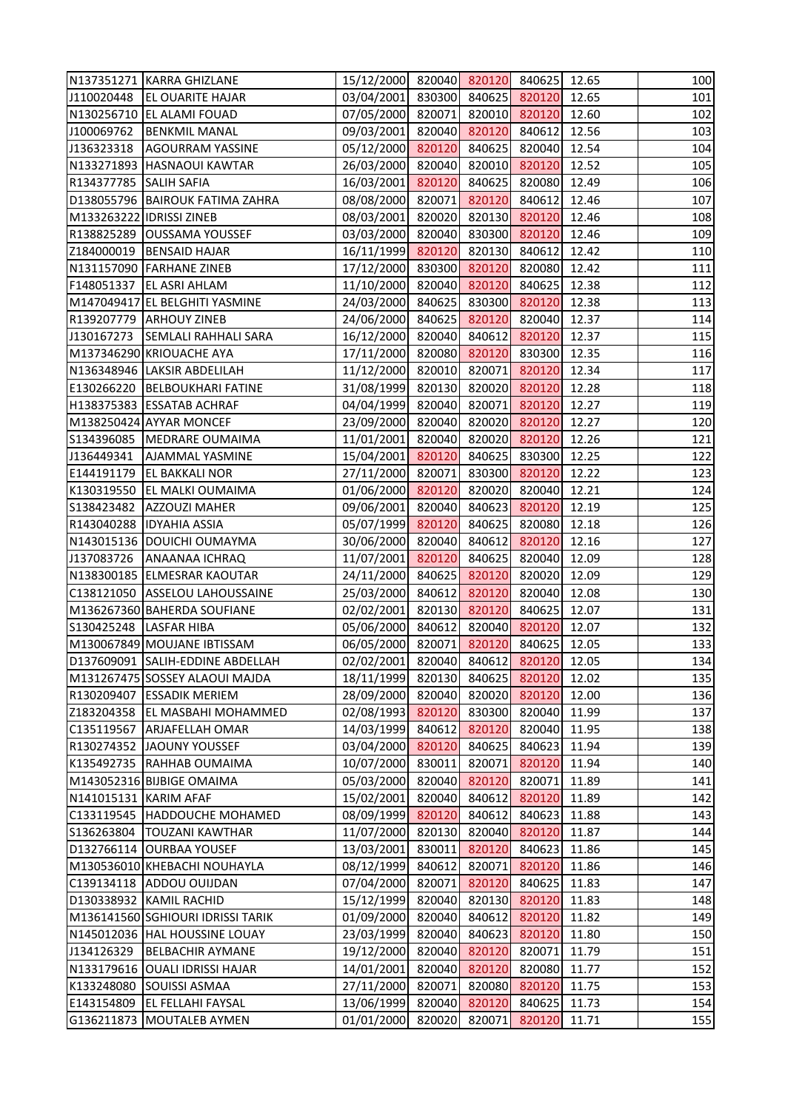|                        | N137351271  KARRA GHIZLANE        | 15/12/2000 820040 820120 840625 12.65 |        |                  |                            |       | 100 |
|------------------------|-----------------------------------|---------------------------------------|--------|------------------|----------------------------|-------|-----|
| J110020448             | <b>EL OUARITE HAJAR</b>           | 03/04/2001 830300 840625 820120 12.65 |        |                  |                            |       | 101 |
|                        | N130256710 EL ALAMI FOUAD         | 07/05/2000 820071 820010 820120       |        |                  |                            | 12.60 | 102 |
| J100069762             | <b>BENKMIL MANAL</b>              | 09/03/2001 820040 820120 840612 12.56 |        |                  |                            |       | 103 |
| J136323318             | <b>AGOURRAM YASSINE</b>           | 05/12/2000 820120 840625 820040 12.54 |        |                  |                            |       | 104 |
|                        | N133271893 HASNAOUI KAWTAR        | 26/03/2000 820040 820010 820120 12.52 |        |                  |                            |       | 105 |
| R134377785 SALIH SAFIA |                                   | 16/03/2001 820120 840625 820080       |        |                  |                            | 12.49 | 106 |
|                        | D138055796   BAIROUK FATIMA ZAHRA | 08/08/2000 820071 820120 840612       |        |                  |                            | 12.46 | 107 |
|                        | M133263222 IDRISSI ZINEB          | 08/03/2001 820020 820130 820120 12.46 |        |                  |                            |       | 108 |
|                        | R138825289 OUSSAMA YOUSSEF        | 03/03/2000 820040 830300 820120       |        |                  |                            | 12.46 | 109 |
|                        | Z184000019   BENSAID HAJAR        | 16/11/1999 820120 820130 840612       |        |                  |                            | 12.42 | 110 |
|                        | N131157090 FARHANE ZINEB          | 17/12/2000 830300 820120 820080       |        |                  |                            | 12.42 | 111 |
| F148051337             | <b>EL ASRI AHLAM</b>              | 11/10/2000 820040 820120 840625 12.38 |        |                  |                            |       | 112 |
|                        | M147049417 EL BELGHITI YASMINE    | 24/03/2000 840625 830300 820120       |        |                  |                            | 12.38 | 113 |
|                        | R139207779 ARHOUY ZINEB           | 24/06/2000 840625 820120 820040 12.37 |        |                  |                            |       | 114 |
| J130167273             | <b>SEMLALI RAHHALI SARA</b>       | 16/12/2000 820040 840612 820120 12.37 |        |                  |                            |       | 115 |
|                        | M137346290 KRIOUACHE AYA          | 17/11/2000 820080 820120 830300 12.35 |        |                  |                            |       | 116 |
|                        | N136348946 LAKSIR ABDELILAH       | 11/12/2000 820010 820071 820120       |        |                  |                            | 12.34 | 117 |
|                        | E130266220 BELBOUKHARI FATINE     | 31/08/1999 820130 820020 820120 12.28 |        |                  |                            |       | 118 |
|                        | H138375383 ESSATAB ACHRAF         | 04/04/1999 820040 820071 820120       |        |                  |                            | 12.27 | 119 |
|                        | M138250424 AYYAR MONCEF           | 23/09/2000 820040 820020 820120       |        |                  |                            | 12.27 | 120 |
|                        | S134396085   MEDRARE OUMAIMA      | 11/01/2001 820040 820020 820120       |        |                  |                            | 12.26 | 121 |
| J136449341             | <b>AJAMMAL YASMINE</b>            | 15/04/2001 820120 840625 830300 12.25 |        |                  |                            |       | 122 |
| E144191179             | <b>EL BAKKALI NOR</b>             | 27/11/2000 820071 830300 820120       |        |                  |                            | 12.22 | 123 |
|                        | K130319550 EL MALKI OUMAIMA       | 01/06/2000 820120 820020 820040 12.21 |        |                  |                            |       | 124 |
| S138423482             | <b>AZZOUZI MAHER</b>              | 09/06/2001 820040 840623 820120       |        |                  |                            | 12.19 | 125 |
|                        | R143040288 IDYAHIA ASSIA          | 05/07/1999 820120 840625 820080       |        |                  |                            | 12.18 | 126 |
|                        | N143015136 DOUICHI OUMAYMA        | 30/06/2000 820040 840612 820120       |        |                  |                            | 12.16 | 127 |
| J137083726             | <b>ANAANAA ICHRAQ</b>             | 11/07/2001 820120 840625 820040 12.09 |        |                  |                            |       | 128 |
|                        | N138300185 ELMESRAR KAOUTAR       | 24/11/2000 840625 820120 820020 12.09 |        |                  |                            |       | 129 |
|                        | C138121050 ASSELOU LAHOUSSAINE    | 25/03/2000 840612 820120 820040 12.08 |        |                  |                            |       | 130 |
|                        | M136267360 BAHERDA SOUFIANE       | 02/02/2001                            |        |                  | 820130 820120 840625 12.07 |       | 131 |
| S130425248             | <b>LASFAR HIBA</b>                | 05/06/2000                            | 840612 |                  | 820040 820120              | 12.07 | 132 |
|                        | M130067849 MOUJANE IBTISSAM       | 06/05/2000                            | 820071 | 820120           | 840625                     | 12.05 | 133 |
|                        | D137609091 SALIH-EDDINE ABDELLAH  | 02/02/2001                            | 820040 |                  | 840612 820120              | 12.05 | 134 |
|                        | M131267475 SOSSEY ALAOUI MAJDA    | 18/11/1999                            | 820130 | 840625           | 820120                     | 12.02 | 135 |
| R130209407             | <b>ESSADIK MERIEM</b>             | 28/09/2000                            | 820040 |                  | 820020 820120              | 12.00 | 136 |
| Z183204358             | <b>EL MASBAHI MOHAMMED</b>        | 02/08/1993                            | 820120 | 830300           | 820040                     | 11.99 | 137 |
| C135119567             | <b>ARJAFELLAH OMAR</b>            |                                       | 840612 |                  | 820040                     | 11.95 | 138 |
| R130274352             | JAOUNY YOUSSEF                    | 14/03/1999<br>03/04/2000              | 820120 | 820120<br>840625 | 840623                     | 11.94 | 139 |
| K135492735             | RAHHAB OUMAIMA                    | 10/07/2000                            | 830011 | 820071           | 820120                     | 11.94 | 140 |
|                        | M143052316 BIJBIGE OMAIMA         |                                       |        | 820040 820120    | 820071                     | 11.89 | 141 |
|                        |                                   | 05/03/2000                            |        |                  |                            |       | 142 |
| N141015131 KARIM AFAF  |                                   | 15/02/2001                            | 820040 | 840612           | 820120                     | 11.89 |     |
|                        | C133119545  HADDOUCHE MOHAMED     | 08/09/1999                            | 820120 | 840612           | 840623                     | 11.88 | 143 |
| S136263804             | <b>TOUZANI KAWTHAR</b>            | 11/07/2000                            | 820130 |                  | 820040 820120              | 11.87 | 144 |
|                        | D132766114 OURBAA YOUSEF          | 13/03/2001                            | 830011 | 820120           | 840623                     | 11.86 | 145 |
|                        | M130536010 KHEBACHI NOUHAYLA      | 08/12/1999                            | 840612 | 820071           | 820120                     | 11.86 | 146 |
|                        | C139134118 ADDOU OUIJDAN          | 07/04/2000                            | 820071 | 820120           | 840625                     | 11.83 | 147 |
|                        | D130338932 KAMIL RACHID           | 15/12/1999                            | 820040 |                  | 820130 820120              | 11.83 | 148 |
|                        | M136141560 SGHIOURI IDRISSI TARIK | 01/09/2000                            | 820040 | 840612           | 820120                     | 11.82 | 149 |
|                        | N145012036 HAL HOUSSINE LOUAY     | 23/03/1999                            | 820040 | 840623           | 820120                     | 11.80 | 150 |
| J134126329             | <b>BELBACHIR AYMANE</b>           | 19/12/2000                            | 820040 | 820120           | 820071                     | 11.79 | 151 |
|                        | N133179616 OUALI IDRISSI HAJAR    | 14/01/2001                            | 820040 | 820120           | 820080                     | 11.77 | 152 |
| K133248080             | <b>SOUISSI ASMAA</b>              | 27/11/2000                            | 820071 | 820080           | 820120                     | 11.75 | 153 |
| E143154809             | <b>EL FELLAHI FAYSAL</b>          | 13/06/1999                            | 820040 | 820120           | 840625                     | 11.73 | 154 |
| G136211873             | <b>MOUTALEB AYMEN</b>             | 01/01/2000                            | 820020 | 820071           | 820120                     | 11.71 | 155 |